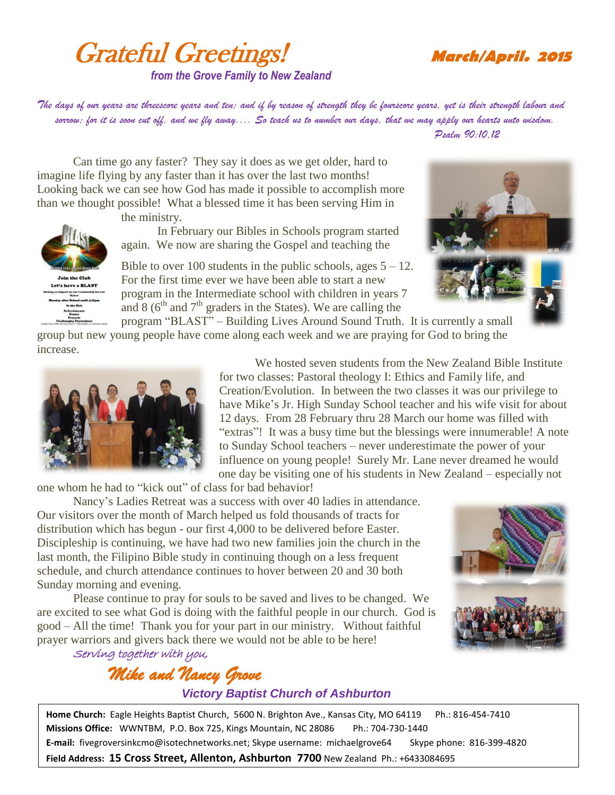## Grateful Greetings! **March/April. <sup>2015</sup>** *from the Grove Family to New Zealand*

*The days of our years are threescore years and ten; and if by reason of strength they be fourscore years, yet is their strength labour and sorrow; for it is soon cut off, and we fly away.... So teach us to number our days, that we may apply our hearts unto wisdom. Psalm 90:10,12*

Can time go any faster? They say it does as we get older, hard to imagine life flying by any faster than it has over the last two months! Looking back we can see how God has made it possible to accomplish more than we thought possible! What a blessed time it has been serving Him in

the ministry.

In February our Bibles in Schools program started again. We now are sharing the Gospel and teaching the

Bible to over 100 students in the public schools, ages  $5 - 12$ . For the first time ever we have been able to start a new program in the Intermediate school with children in years 7 and  $8(6<sup>th</sup>$  and  $7<sup>th</sup>$  graders in the States). We are calling the



program "BLAST" – Building Lives Around Sound Truth. It is currently a small group but new young people have come along each week and we are praying for God to bring the increase.



**Join the Club** Let's have a BLAST

> We hosted seven students from the New Zealand Bible Institute for two classes: Pastoral theology I: Ethics and Family life, and Creation/Evolution. In between the two classes it was our privilege to have Mike's Jr. High Sunday School teacher and his wife visit for about 12 days. From 28 February thru 28 March our home was filled with "extras"! It was a busy time but the blessings were innumerable! A note to Sunday School teachers – never underestimate the power of your influence on young people! Surely Mr. Lane never dreamed he would one day be visiting one of his students in New Zealand – especially not

one whom he had to "kick out" of class for bad behavior!

Nancy's Ladies Retreat was a success with over 40 ladies in attendance. Our visitors over the month of March helped us fold thousands of tracts for distribution which has begun - our first 4,000 to be delivered before Easter. Discipleship is continuing, we have had two new families join the church in the last month, the Filipino Bible study in continuing though on a less frequent schedule, and church attendance continues to hover between 20 and 30 both Sunday morning and evening.

Please continue to pray for souls to be saved and lives to be changed. We are excited to see what God is doing with the faithful people in our church. God is good – All the time! Thank you for your part in our ministry. Without faithful prayer warriors and givers back there we would not be able to be here!



Serving together with you,

## *Mike and Nancy Grove Victory Baptist Church of Ashburton*

**Home Church:** Eagle Heights Baptist Church, 5600 N. Brighton Ave., Kansas City, MO 64119 Ph.: 816-454-7410 **Missions Office:** WWNTBM, P.O. Box 725, Kings Mountain, NC 28086 Ph.: 704-730-1440 **E-mail:** fivegroversinkcmo@isotechnetworks.net; Skype username: michaelgrove64 Skype phone: 816-399-4820 **Field Address: 15 Cross Street, Allenton, Ashburton 7700** New Zealand Ph.: +6433084695